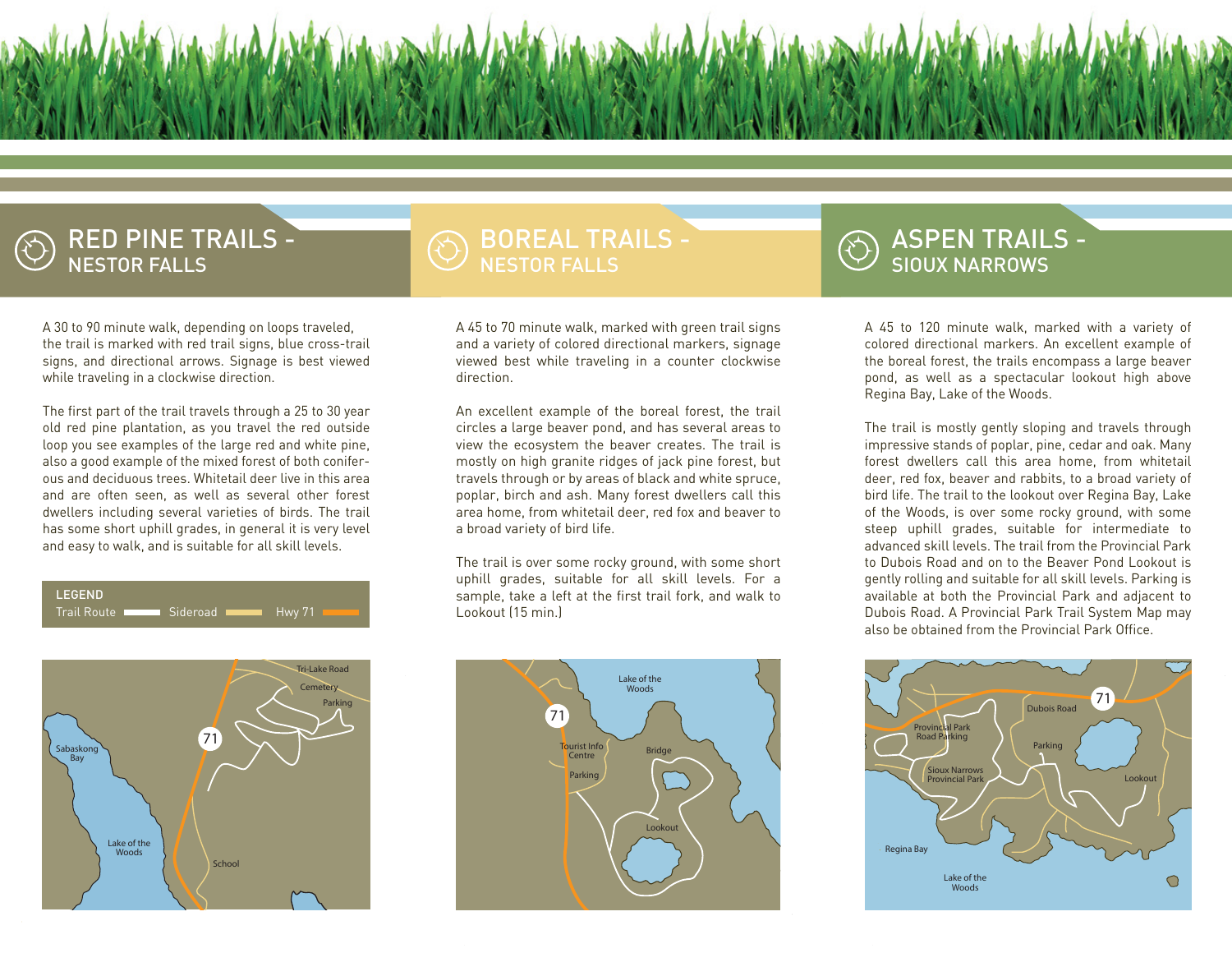

#### RED PINE TRAILS - NESTOR FALLS

### BOREAL TRAILS - NESTOR FALLS

A 30 to 90 minute walk, depending on loops traveled, the trail is marked with red trail signs, blue cross-trail signs, and directional arrows. Signage is best viewed while traveling in a clockwise direction.

The first part of the trail travels through a 25 to 30 year old red pine plantation, as you travel the red outside loop you see examples of the large red and white pine, also a good example of the mixed forest of both coniferous and deciduous trees. Whitetail deer live in this area and are often seen, as well as several other forest dwellers including several varieties of birds. The trail has some short uphill grades, in general it is very level and easy to walk, and is suitable for all skill levels.

#### LEGEND

Trail Route **Network** Sideroad **Heather** Hwy 71



A 45 to 70 minute walk, marked with green trail signs and a variety of colored directional markers, signage viewed best while traveling in a counter clockwise direction.

An excellent example of the boreal forest, the trail circles a large beaver pond, and has several areas to view the ecosystem the beaver creates. The trail is mostly on high granite ridges of jack pine forest, but travels through or by areas of black and white spruce, poplar, birch and ash. Many forest dwellers call this area home, from whitetail deer, red fox and beaver to a broad variety of bird life.

The trail is over some rocky ground, with some short uphill grades, suitable for all skill levels. For a sample, take a left at the first trail fork, and walk to Lookout (15 min.)



### ASPEN TRAILS - SIOUX NARROWS

A 45 to 120 minute walk, marked with a variety of colored directional markers. An excellent example of the boreal forest, the trails encompass a large beaver pond, as well as a spectacular lookout high above Regina Bay, Lake of the Woods.

The trail is mostly gently sloping and travels through impressive stands of poplar, pine, cedar and oak. Many forest dwellers call this area home, from whitetail deer, red fox, beaver and rabbits, to a broad variety of bird life. The trail to the lookout over Regina Bay, Lake of the Woods, is over some rocky ground, with some steep uphill grades, suitable for intermediate to advanced skill levels. The trail from the Provincial Park to Dubois Road and on to the Beaver Pond Lookout is gently rolling and suitable for all skill levels. Parking is available at both the Provincial Park and adjacent to Dubois Road. A Provincial Park Trail System Map may also be obtained from the Provincial Park Office.